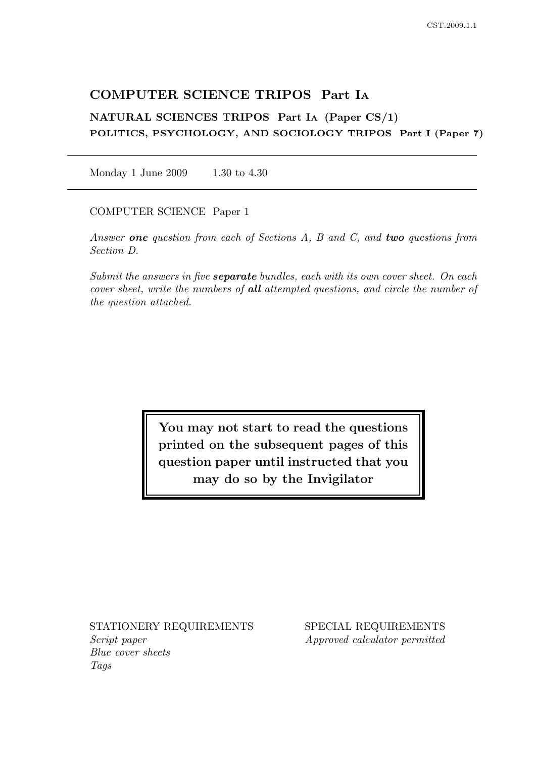# COMPUTER SCIENCE TRIPOS Part I<sup>A</sup>

NATURAL SCIENCES TRIPOS Part I<sup>A</sup> (Paper CS/1) POLITICS, PSYCHOLOGY, AND SOCIOLOGY TRIPOS Part I (Paper 7)

Monday 1 June 2009 1.30 to 4.30

COMPUTER SCIENCE Paper 1

Answer one question from each of Sections A, B and C, and two questions from Section D.

Submit the answers in five **separate** bundles, each with its own cover sheet. On each cover sheet, write the numbers of all attempted questions, and circle the number of the question attached.

> You may not start to read the questions printed on the subsequent pages of this question paper until instructed that you may do so by the Invigilator

Script paper Approved calculator permitted Blue cover sheets Tags

STATIONERY REQUIREMENTS SPECIAL REQUIREMENTS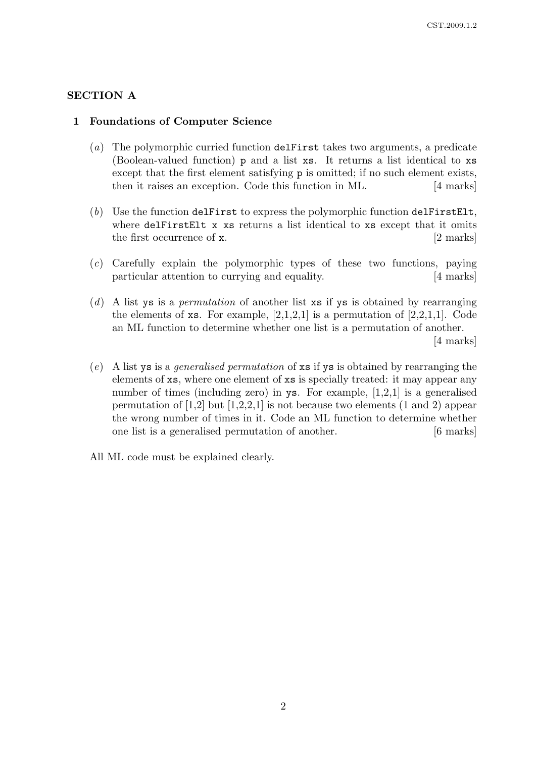## SECTION A

### 1 Foundations of Computer Science

- (a) The polymorphic curried function delFirst takes two arguments, a predicate (Boolean-valued function) p and a list xs. It returns a list identical to xs except that the first element satisfying p is omitted; if no such element exists, then it raises an exception. Code this function in ML. [4 marks]
- $(b)$  Use the function delFirst to express the polymorphic function delFirstElt. where delFirstElt x xs returns a list identical to xs except that it omits the first occurrence of **x**. [2 marks]
- (c) Carefully explain the polymorphic types of these two functions, paying particular attention to currying and equality. [4 marks]
- (d) A list ys is a *permutation* of another list  $xs$  if ys is obtained by rearranging the elements of  $\mathbf{x}s$ . For example, [2,1,2,1] is a permutation of [2,2,1,1]. Code an ML function to determine whether one list is a permutation of another. [4 marks]
- (e) A list ys is a generalised permutation of xs if ys is obtained by rearranging the elements of xs, where one element of xs is specially treated: it may appear any number of times (including zero) in ys. For example, [1,2,1] is a generalised permutation of  $[1,2]$  but  $[1,2,2,1]$  is not because two elements  $(1 \text{ and } 2)$  appear the wrong number of times in it. Code an ML function to determine whether one list is a generalised permutation of another. [6 marks]

All ML code must be explained clearly.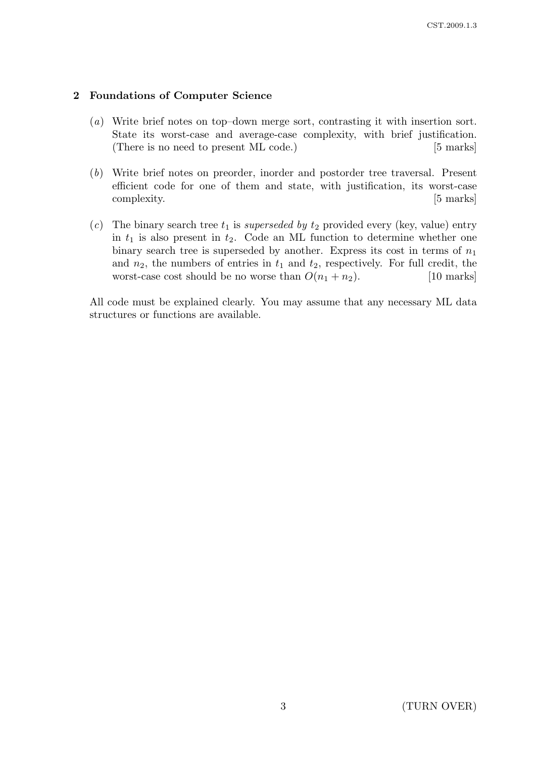### 2 Foundations of Computer Science

- (a) Write brief notes on top–down merge sort, contrasting it with insertion sort. State its worst-case and average-case complexity, with brief justification. (There is no need to present ML code.) [5 marks]
- (b) Write brief notes on preorder, inorder and postorder tree traversal. Present efficient code for one of them and state, with justification, its worst-case complexity.  $|5 \text{ marks}|$
- (c) The binary search tree  $t_1$  is superseded by  $t_2$  provided every (key, value) entry in  $t_1$  is also present in  $t_2$ . Code an ML function to determine whether one binary search tree is superseded by another. Express its cost in terms of  $n_1$ and  $n_2$ , the numbers of entries in  $t_1$  and  $t_2$ , respectively. For full credit, the worst-case cost should be no worse than  $O(n_1 + n_2)$ . [10 marks]

All code must be explained clearly. You may assume that any necessary ML data structures or functions are available.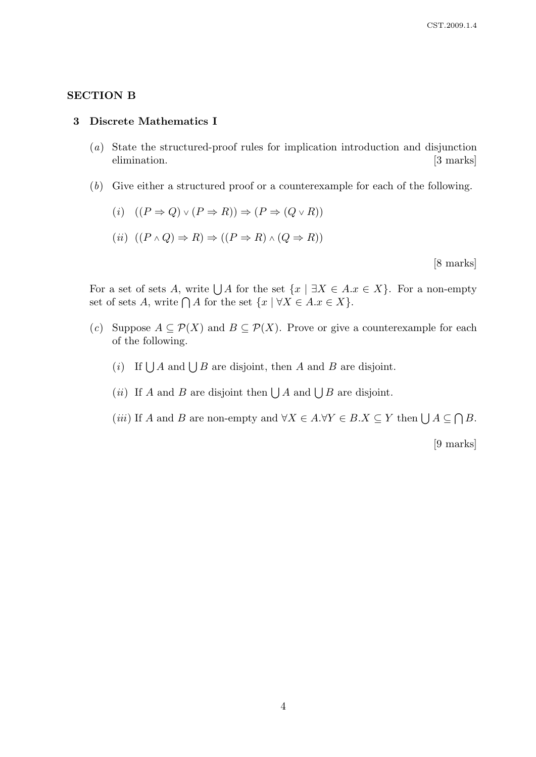### SECTION B

#### 3 Discrete Mathematics I

- (a) State the structured-proof rules for implication introduction and disjunction elimination. [3 marks]
- (b) Give either a structured proof or a counterexample for each of the following.

$$
(i) \quad ((P \Rightarrow Q) \vee (P \Rightarrow R)) \Rightarrow (P \Rightarrow (Q \vee R))
$$

(ii)  $((P \wedge Q) \Rightarrow R) \Rightarrow ((P \Rightarrow R) \wedge (Q \Rightarrow R))$ 

[8 marks]

For a set of sets A, write  $\bigcup A$  for the set  $\{x \mid \exists X \in A.x \in X\}$ . For a non-empty set of sets A, write  $\bigcap A$  for the set  $\{x \mid \forall X \in A \ldots \in X\}.$ 

- (c) Suppose  $A \subseteq \mathcal{P}(X)$  and  $B \subseteq \mathcal{P}(X)$ . Prove or give a counterexample for each of the following.
	- (i) If  $\bigcup A$  and  $\bigcup B$  are disjoint, then A and B are disjoint.
	- (*ii*) If A and B are disjoint then  $\bigcup A$  and  $\bigcup B$  are disjoint.
	- (*iii*) If A and B are non-empty and  $\forall X \in A.\forall Y \in B.X \subseteq Y$  then  $\bigcup A \subseteq \bigcap B$ .

[9 marks]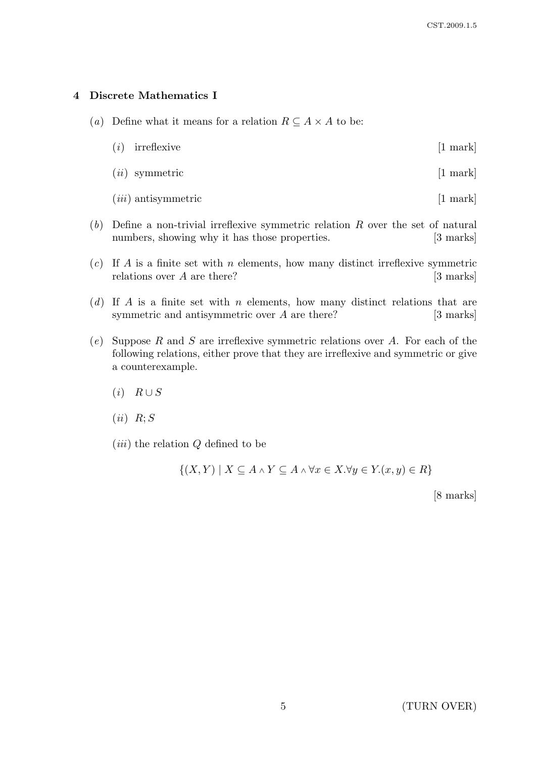### 4 Discrete Mathematics I

- (a) Define what it means for a relation  $R \subseteq A \times A$  to be:
	- $(i)$  irreflexive [1 mark]
	- $(ii)$  symmetric [1 mark]
	- $(iii)$  antisymmetric [1 mark]
- $(b)$  Define a non-trivial irreflexive symmetric relation R over the set of natural numbers, showing why it has those properties. [3 marks]
- $(c)$  If A is a finite set with n elements, how many distinct irreflexive symmetric relations over  $A$  are there? [3 marks]
- (d) If A is a finite set with n elements, how many distinct relations that are symmetric and antisymmetric over A are there? [3 marks]
- $(e)$  Suppose R and S are irreflexive symmetric relations over A. For each of the following relations, either prove that they are irreflexive and symmetric or give a counterexample.
	- $(i)$   $R \cup S$
	- $(ii)$   $R; S$
	- $(iii)$  the relation  $Q$  defined to be

 $\{(X,Y) \mid X \subseteq A \land Y \subseteq A \land \forall x \in X. \forall y \in Y.(x,y) \in R\}$ 

[8 marks]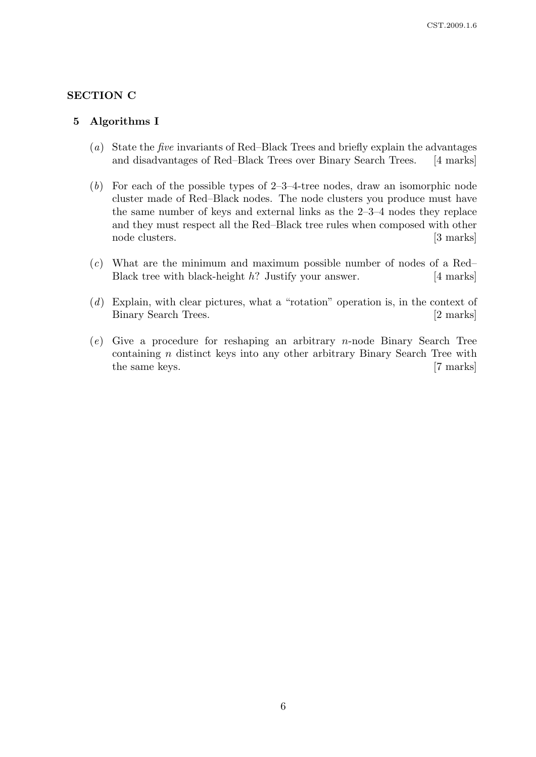## SECTION C

#### 5 Algorithms I

- (a) State the five invariants of Red–Black Trees and briefly explain the advantages and disadvantages of Red–Black Trees over Binary Search Trees. [4 marks]
- (b) For each of the possible types of  $2-3-4$ -tree nodes, draw an isomorphic node cluster made of Red–Black nodes. The node clusters you produce must have the same number of keys and external links as the 2–3–4 nodes they replace and they must respect all the Red–Black tree rules when composed with other node clusters. [3 marks]
- $(c)$  What are the minimum and maximum possible number of nodes of a Red– Black tree with black-height h? Justify your answer. [4 marks]
- (d) Explain, with clear pictures, what a "rotation" operation is, in the context of Binary Search Trees. [2 marks]
- (e) Give a procedure for reshaping an arbitrary n-node Binary Search Tree containing n distinct keys into any other arbitrary Binary Search Tree with the same keys. [7 marks]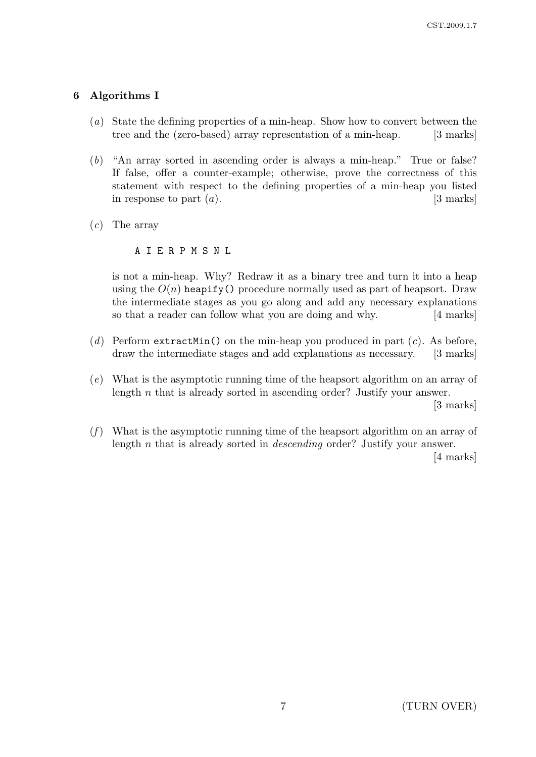## 6 Algorithms I

- (a) State the defining properties of a min-heap. Show how to convert between the tree and the (zero-based) array representation of a min-heap. [3 marks]
- (b) "An array sorted in ascending order is always a min-heap." True or false? If false, offer a counter-example; otherwise, prove the correctness of this statement with respect to the defining properties of a min-heap you listed in response to part  $(a)$ . [3 marks]
- $(c)$  The array

A I E R P M S N L

is not a min-heap. Why? Redraw it as a binary tree and turn it into a heap using the  $O(n)$  heapify() procedure normally used as part of heapsort. Draw the intermediate stages as you go along and add any necessary explanations so that a reader can follow what you are doing and why. [4 marks]

- (d) Perform extractMin() on the min-heap you produced in part  $(c)$ . As before, draw the intermediate stages and add explanations as necessary. [3 marks]
- (e) What is the asymptotic running time of the heapsort algorithm on an array of length n that is already sorted in ascending order? Justify your answer.

[3 marks]

 $(f)$  What is the asymptotic running time of the heapsort algorithm on an array of length n that is already sorted in descending order? Justify your answer.

[4 marks]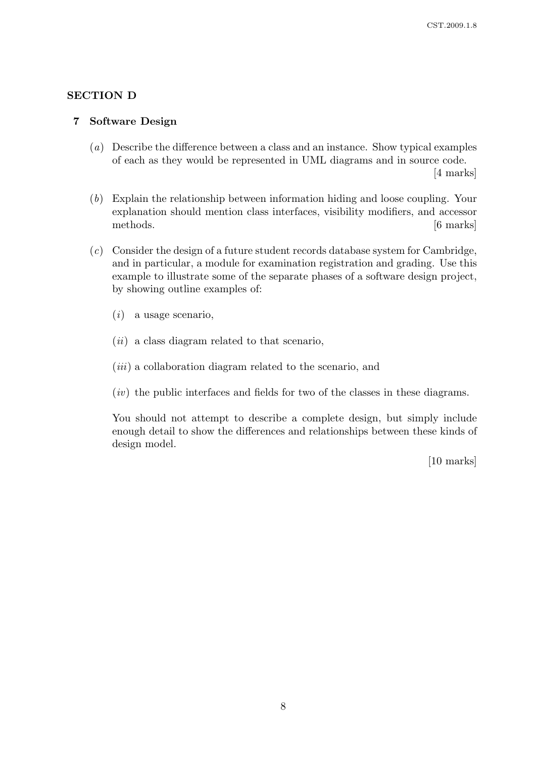### SECTION D

#### 7 Software Design

(a) Describe the difference between a class and an instance. Show typical examples of each as they would be represented in UML diagrams and in source code.

[4 marks]

- (b) Explain the relationship between information hiding and loose coupling. Your explanation should mention class interfaces, visibility modifiers, and accessor methods. [6 marks]
- (c) Consider the design of a future student records database system for Cambridge, and in particular, a module for examination registration and grading. Use this example to illustrate some of the separate phases of a software design project, by showing outline examples of:
	- $(i)$  a usage scenario,
	- $(ii)$  a class diagram related to that scenario,
	- $(iii)$  a collaboration diagram related to the scenario, and
	- $(iv)$  the public interfaces and fields for two of the classes in these diagrams.

You should not attempt to describe a complete design, but simply include enough detail to show the differences and relationships between these kinds of design model.

[10 marks]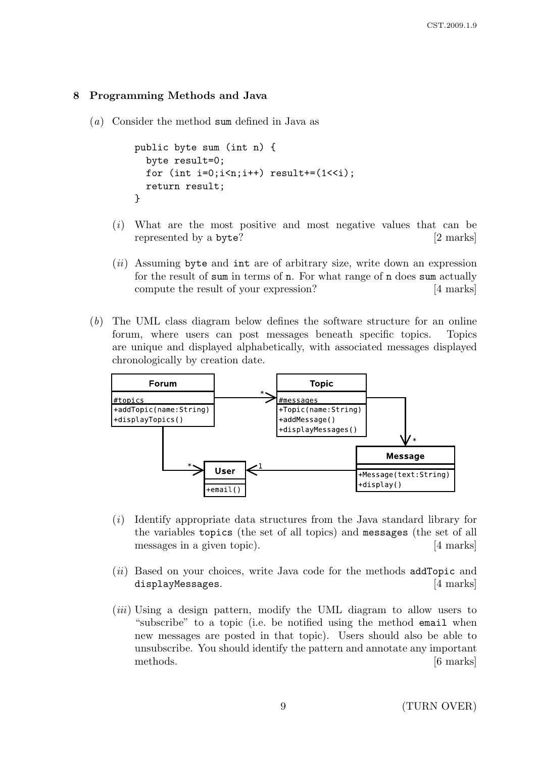## 8 Programming Methods and Java

(a) Consider the method sum defined in Java as

```
public byte sum (int n) {
  byte result=0;
  for (int i=0; i \le n; i++) result += (1 \le i);return result;
}
```
- (i) What are the most positive and most negative values that can be represented by a byte? [2 marks]
- $(ii)$  Assuming byte and int are of arbitrary size, write down an expression for the result of sum in terms of n. For what range of n does sum actually compute the result of your expression? [4 marks]
- (b) The UML class diagram below defines the software structure for an online forum, where users can post messages beneath specific topics. Topics are unique and displayed alphabetically, with associated messages displayed chronologically by creation date.



- (i) Identify appropriate data structures from the Java standard library for the variables topics (the set of all topics) and messages (the set of all messages in a given topic). [4 marks]
- (ii) Based on your choices, write Java code for the methods addTopic and displayMessages. [4 marks]
- (iii) Using a design pattern, modify the UML diagram to allow users to "subscribe" to a topic (i.e. be notified using the method email when new messages are posted in that topic). Users should also be able to unsubscribe. You should identify the pattern and annotate any important methods. [6 marks]